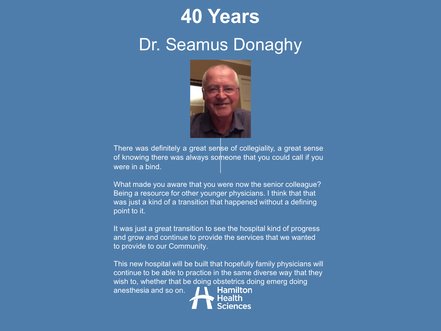## **40 Years**

#### Dr. Seamus Donaghy



There was definitely a great sense of collegiality, a great sense of knowing there was always someone that you could call if you were in a bind.

What made you aware that you were now the senior colleague? Being a resource for other younger physicians. I think that that was just a kind of a transition that happened without a defining point to it.

It was just a great transition to see the hospital kind of progress and grow and continue to provide the services that we wanted to provide to our Community.

This new hospital will be built that hopefully family physicians will continue to be able to practice in the same diverse way that they wish to, whether that be doing obstetrics doing emerg doing Hamilton anesthesia and so on.Health

ciences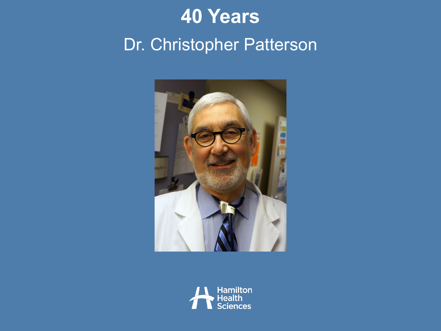# **40 Years** Dr. Christopher Patterson



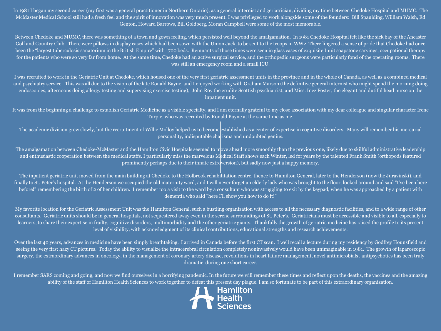In 1981 I began my second career (my first was a general practitioner in Northern Ontario), as a general internist and geriatrician, dividing my time between Chedoke Hospital and MUMC. The McMaster Medical School still had a fresh feel and the spirit of innovation was very much present. I was privileged to work alongside some of the founders: Bill Spaulding, William Walsh, Ed Genton, Howard Barrows, Bill Goldberg, Moran Campbell were some of the most memorable.

Between Chedoke and MUMC, there was something of a town and gown feeling, which persisted well beyond the amalgamation. In 1981 Chedoke Hospital felt like the sick bay of the Ancaster Golf and Country Club. There were pillows in display cases which had been sown with the Union Jack, to be sent to the troops in WW2. There lingered a sense of pride that Chedoke had once been the "largest tuberculosis sanatorium in the British Empire" with 1700 beds. Remnants of those times were seen in glass cases of exquisite Inuit soapstone carvings, occupational therapy for the patients who were so very far from home. At the same time, Chedoke had an active surgical service, and the orthopedic surgeons were particularly fond of the operating rooms. There was still an emergency room and a small ICU.

I was recruited to work in the Geriatric Unit at Chedoke, which housed one of the very first geriatric assessment units in the province and in the whole of Canada, as well as a combined medical and psychiatry service. This was all due to the vision of the late Ronald Bayne, and I enjoyed working with Graham Marson (the definitive general internist who might spend the morning doing endoscopies, afternoons doing allergy testing and supervising exercise testing), John Roy the erudite Scottish psychiatrist, and Miss. Inez Foster, the elegant and dutiful head nurse on the inpatient unit.

It was from the beginning a challenge to establish Geriatric Medicine as a visible specialty, and I am eternally grateful to my close association with my dear colleague and singular character Irene Turpie, who was recruited by Ronald Bayne at the same time as me.

The academic division grew slowly, but the recruitment of Willie Molloy helped us to become established as a center of expertise in cognitive disorders. Many will remember his mercurial personality, indisputable charisma and undoubted genius.

The amalgamation between Chedoke-McMaster and the Hamilton Civic Hospitals seemed to move ahead more smoothly than the previous one, likely due to skillful administrative leadership and enthusiastic cooperation between the medical staffs. I particularly miss the marvelous Medical Staff shows each Winter, led for years by the talented Frank Smith (orthopods featured prominently perhaps due to their innate extroversion), but sadly now just a happy memory.

The inpatient geriatric unit moved from the main building at Chedoke to the Holbrook rehabilitation centre, thence to Hamilton General, later to the Henderson (now the Juravinski), and finally to St. Peter's hospital. At the Henderson we occupied the old maternity ward, and I will never forget an elderly lady who was brought to the floor, looked around and said "I've been here before!" remembering the birth of 2 of her children. I remember too a visit to the ward by a consultant who was struggling to exit by the keypad, when he was approached by a patient with dementia who said "here I'll show you how to do it!"

My favorite location for the Geriatric Assessment Unit was the Hamilton General, such a bustling organization with access to all the necessary diagnostic facilities, and to a wide range of other consultants. Geriatric units should be in general hospitals, not sequestered away even in the serene surroundings of St. Peter's. Geriatricians must be accessible and visible to all, especially to learners, to share their expertise in frailty, cognitive disorders, multimorbidity and the other geriatric giants. Thankfully the growth of geriatric medicine has raised the profile to its present level of visibility, with acknowledgment of its clinical contributions, educational strengths and research achievements.

Over the last 40 years, advances in medicine have been simply breathtaking. I arrived in Canada before the first CT scan. I well recall a lecture during my residency by Godfrey Hounsfield and seeing the very first hazy CT pictures. Today the ability to visualize the intracerebral circulation completely noninvasively would have been unimaginable in 1981. The growth of laparoscopic surgery, the extraordinary advances in oncology, in the management of coronary artery disease, revolutions in heart failure management, novel antimicrobials, antipsychotics has been truly dramatic during one short career.

I remember SARS coming and going, and now we find ourselves in a horrifying pandemic. In the future we will remember these times and reflect upon the deaths, the vaccines and the amazing ability of the staff of Hamilton Health Sciences to work together to defeat this present day plague. I am so fortunate to be part of this extraordinary organization.<br> **All Sciences**<br> **All Sciences** 

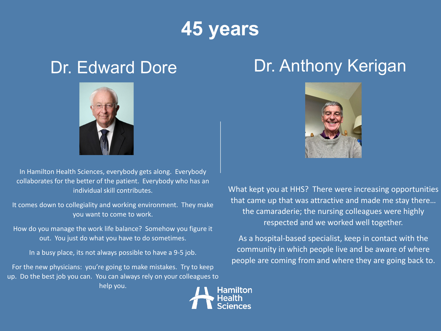# **45 years**



In Hamilton Health Sciences, everybody gets along. Everybody collaborates for the better of the patient. Everybody who has an individual skill contributes.

It comes down to collegiality and working environment. They make you want to come to work.

How do you manage the work life balance? Somehow you figure it out. You just do what you have to do sometimes.

In a busy place, its not always possible to have a 9-5 job.

For the new physicians: you're going to make mistakes. Try to keep up. Do the best job you can. You can always rely on your colleagues to help you.

### Dr. Edward Dore Dr. Anthony Kerigan



What kept you at HHS? There were increasing opportunities that came up that was attractive and made me stay there… the camaraderie; the nursing colleagues were highly respected and we worked well together.

As a hospital-based specialist, keep in contact with the community in which people live and be aware of where people are coming from and where they are going back to.